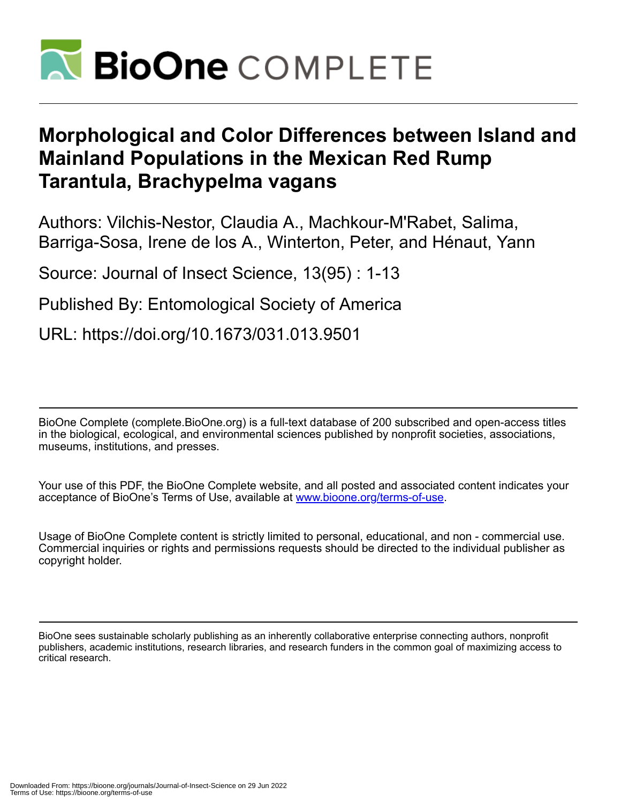

# **Morphological and Color Differences between Island and Mainland Populations in the Mexican Red Rump Tarantula, Brachypelma vagans**

Authors: Vilchis-Nestor, Claudia A., Machkour-M'Rabet, Salima, Barriga-Sosa, Irene de los A., Winterton, Peter, and Hénaut, Yann

Source: Journal of Insect Science, 13(95) : 1-13

Published By: Entomological Society of America

URL: https://doi.org/10.1673/031.013.9501

BioOne Complete (complete.BioOne.org) is a full-text database of 200 subscribed and open-access titles in the biological, ecological, and environmental sciences published by nonprofit societies, associations, museums, institutions, and presses.

Your use of this PDF, the BioOne Complete website, and all posted and associated content indicates your acceptance of BioOne's Terms of Use, available at www.bioone.org/terms-of-use.

Usage of BioOne Complete content is strictly limited to personal, educational, and non - commercial use. Commercial inquiries or rights and permissions requests should be directed to the individual publisher as copyright holder.

BioOne sees sustainable scholarly publishing as an inherently collaborative enterprise connecting authors, nonprofit publishers, academic institutions, research libraries, and research funders in the common goal of maximizing access to critical research.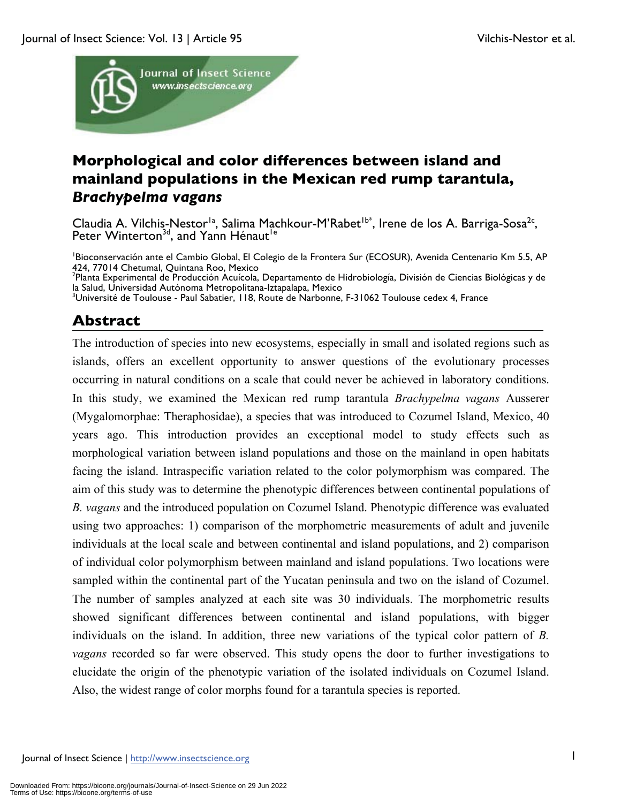

# **Morphological and color differences between island and mainland populations in the Mexican red rump tarantula,**  *Brachypelma vagans*

Claudia A. Vilchis-Nestor<sup>1a</sup>, Salima Machkour-M'Rabet<sup>1b\*</sup>, Irene de los A. Barriga-Sosa<sup>2c</sup>, Peter Winterton<sup>3d</sup>, and Yann Hénaut<sup>1e</sup>

1 Bioconservación ante el Cambio Global, El Colegio de la Frontera Sur (ECOSUR), Avenida Centenario Km 5.5, AP 424, 77014 Chetumal, Quintana Roo, Mexico

<sup>2</sup>Planta Experimental de Producción Acuícola, Departamento de Hidrobiología, División de Ciencias Biológicas y de la Salud, Universidad Autónoma Metropolitana-Iztapalapa, Mexico

3 Université de Toulouse - Paul Sabatier, 118, Route de Narbonne, F-31062 Toulouse cedex 4, France

# **Abstract**

The introduction of species into new ecosystems, especially in small and isolated regions such as islands, offers an excellent opportunity to answer questions of the evolutionary processes occurring in natural conditions on a scale that could never be achieved in laboratory conditions. In this study, we examined the Mexican red rump tarantula *Brachypelma vagans* Ausserer (Mygalomorphae: Theraphosidae), a species that was introduced to Cozumel Island, Mexico, 40 years ago. This introduction provides an exceptional model to study effects such as morphological variation between island populations and those on the mainland in open habitats facing the island. Intraspecific variation related to the color polymorphism was compared. The aim of this study was to determine the phenotypic differences between continental populations of *B. vagans* and the introduced population on Cozumel Island. Phenotypic difference was evaluated using two approaches: 1) comparison of the morphometric measurements of adult and juvenile individuals at the local scale and between continental and island populations, and 2) comparison of individual color polymorphism between mainland and island populations. Two locations were sampled within the continental part of the Yucatan peninsula and two on the island of Cozumel. The number of samples analyzed at each site was 30 individuals. The morphometric results showed significant differences between continental and island populations, with bigger individuals on the island. In addition, three new variations of the typical color pattern of *B. vagans* recorded so far were observed. This study opens the door to further investigations to elucidate the origin of the phenotypic variation of the isolated individuals on Cozumel Island. Also, the widest range of color morphs found for a tarantula species is reported.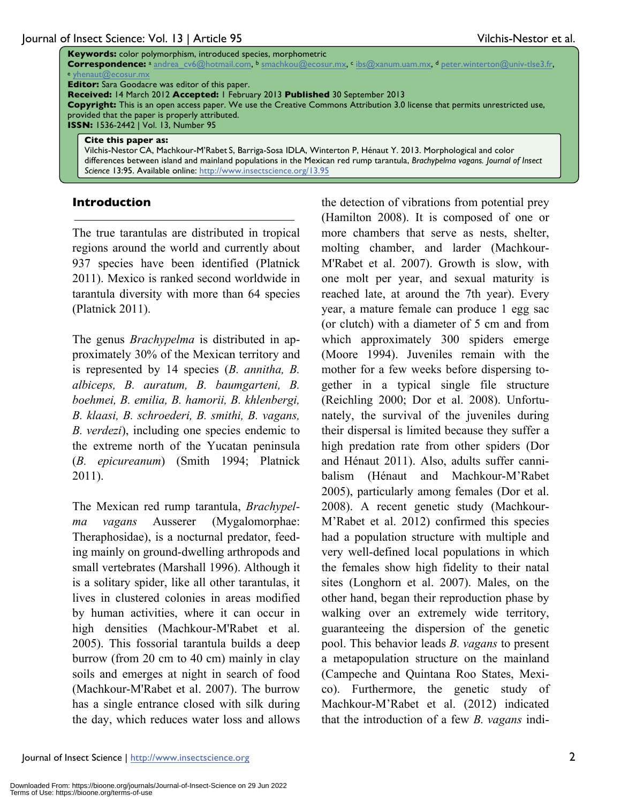|                                                                                                                                                                                       | <b>Keywords:</b> color polymorphism, introduced species, morphometric<br>Correspondence: a andrea cv6@hotmail.com, b smachkou@ecosur.mx, cibs@xanum.uam.mx, d peter.winterton@univ-tlse3.fr, |  |  |  |  |  |  |
|---------------------------------------------------------------------------------------------------------------------------------------------------------------------------------------|----------------------------------------------------------------------------------------------------------------------------------------------------------------------------------------------|--|--|--|--|--|--|
|                                                                                                                                                                                       | e yhenaut@ecosur.mx                                                                                                                                                                          |  |  |  |  |  |  |
|                                                                                                                                                                                       | <b>Editor:</b> Sara Goodacre was editor of this paper.                                                                                                                                       |  |  |  |  |  |  |
| Received: 14 March 2012 Accepted: 1 February 2013 Published 30 September 2013                                                                                                         |                                                                                                                                                                                              |  |  |  |  |  |  |
| <b>Copyright:</b> This is an open access paper. We use the Creative Commons Attribution 3.0 license that permits unrestricted use,<br>provided that the paper is properly attributed. |                                                                                                                                                                                              |  |  |  |  |  |  |
|                                                                                                                                                                                       | <b>ISSN: 1536-2442   Vol. 13, Number 95</b>                                                                                                                                                  |  |  |  |  |  |  |
|                                                                                                                                                                                       | Cite this paper as:<br>Vilchis-Nestor CA, Machkour-M'Rabet S, Barriga-Sosa IDLA, Winterton P, Hénaut Y. 2013. Morphological and color                                                        |  |  |  |  |  |  |
|                                                                                                                                                                                       | differences between island and mainland populations in the Mexican red rump tarantula, Brachypelma vagans. Journal of Insect                                                                 |  |  |  |  |  |  |

*Science* 13:95. Available online: http://www.insectscience.org/13.95

#### **Introduction**

The true tarantulas are distributed in tropical regions around the world and currently about 937 species have been identified (Platnick 2011). Mexico is ranked second worldwide in tarantula diversity with more than 64 species (Platnick 2011).

The genus *Brachypelma* is distributed in approximately 30% of the Mexican territory and is represented by 14 species (*B. annitha, B. albiceps, B. auratum, B. baumgarteni, B. boehmei, B. emilia, B. hamorii, B. khlenbergi, B. klaasi, B. schroederi, B. smithi, B. vagans, B. verdezi*), including one species endemic to the extreme north of the Yucatan peninsula (*B. epicureanum*) (Smith 1994; Platnick 2011).

The Mexican red rump tarantula, *Brachypelma vagans* Ausserer (Mygalomorphae: Theraphosidae), is a nocturnal predator, feeding mainly on ground-dwelling arthropods and small vertebrates (Marshall 1996). Although it is a solitary spider, like all other tarantulas, it lives in clustered colonies in areas modified by human activities, where it can occur in high densities (Machkour-M'Rabet et al. 2005). This fossorial tarantula builds a deep burrow (from 20 cm to 40 cm) mainly in clay soils and emerges at night in search of food (Machkour-M'Rabet et al. 2007). The burrow has a single entrance closed with silk during the day, which reduces water loss and allows

the detection of vibrations from potential prey (Hamilton 2008). It is composed of one or more chambers that serve as nests, shelter, molting chamber, and larder (Machkour-M'Rabet et al. 2007). Growth is slow, with one molt per year, and sexual maturity is reached late, at around the 7th year). Every year, a mature female can produce 1 egg sac (or clutch) with a diameter of 5 cm and from which approximately 300 spiders emerge (Moore 1994). Juveniles remain with the mother for a few weeks before dispersing together in a typical single file structure (Reichling 2000; Dor et al. 2008). Unfortunately, the survival of the juveniles during their dispersal is limited because they suffer a high predation rate from other spiders (Dor and Hénaut 2011). Also, adults suffer cannibalism (Hénaut and Machkour-M'Rabet 2005), particularly among females (Dor et al. 2008). A recent genetic study (Machkour-M'Rabet et al. 2012) confirmed this species had a population structure with multiple and very well-defined local populations in which the females show high fidelity to their natal sites (Longhorn et al. 2007). Males, on the other hand, began their reproduction phase by walking over an extremely wide territory, guaranteeing the dispersion of the genetic pool. This behavior leads *B. vagans* to present a metapopulation structure on the mainland (Campeche and Quintana Roo States, Mexico). Furthermore, the genetic study of Machkour-M'Rabet et al. (2012) indicated that the introduction of a few *B. vagans* indi-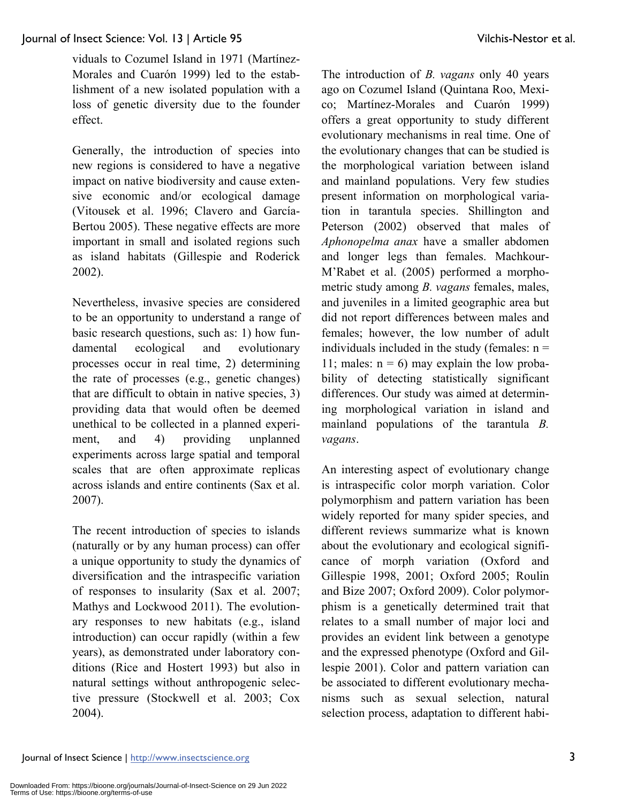viduals to Cozumel Island in 1971 (Martínez-Morales and Cuarón 1999) led to the establishment of a new isolated population with a loss of genetic diversity due to the founder effect.

Generally, the introduction of species into new regions is considered to have a negative impact on native biodiversity and cause extensive economic and/or ecological damage (Vitousek et al. 1996; Clavero and García-Bertou 2005). These negative effects are more important in small and isolated regions such as island habitats (Gillespie and Roderick 2002).

Nevertheless, invasive species are considered to be an opportunity to understand a range of basic research questions, such as: 1) how fundamental ecological and evolutionary processes occur in real time, 2) determining the rate of processes (e.g., genetic changes) that are difficult to obtain in native species, 3) providing data that would often be deemed unethical to be collected in a planned experiment, and 4) providing unplanned experiments across large spatial and temporal scales that are often approximate replicas across islands and entire continents (Sax et al. 2007).

The recent introduction of species to islands (naturally or by any human process) can offer a unique opportunity to study the dynamics of diversification and the intraspecific variation of responses to insularity (Sax et al. 2007; Mathys and Lockwood 2011). The evolutionary responses to new habitats (e.g., island introduction) can occur rapidly (within a few years), as demonstrated under laboratory conditions (Rice and Hostert 1993) but also in natural settings without anthropogenic selective pressure (Stockwell et al. 2003; Cox 2004).

The introduction of *B. vagans* only 40 years ago on Cozumel Island (Quintana Roo, Mexico; Martínez-Morales and Cuarón 1999) offers a great opportunity to study different evolutionary mechanisms in real time. One of the evolutionary changes that can be studied is the morphological variation between island and mainland populations. Very few studies present information on morphological variation in tarantula species. Shillington and Peterson (2002) observed that males of *Aphonopelma anax* have a smaller abdomen and longer legs than females. Machkour-M'Rabet et al. (2005) performed a morphometric study among *B. vagans* females, males, and juveniles in a limited geographic area but did not report differences between males and females; however, the low number of adult individuals included in the study (females:  $n =$ 11; males:  $n = 6$ ) may explain the low probability of detecting statistically significant differences. Our study was aimed at determining morphological variation in island and mainland populations of the tarantula *B. vagans*.

An interesting aspect of evolutionary change is intraspecific color morph variation. Color polymorphism and pattern variation has been widely reported for many spider species, and different reviews summarize what is known about the evolutionary and ecological significance of morph variation (Oxford and Gillespie 1998, 2001; Oxford 2005; Roulin and Bize 2007; Oxford 2009). Color polymorphism is a genetically determined trait that relates to a small number of major loci and provides an evident link between a genotype and the expressed phenotype (Oxford and Gillespie 2001). Color and pattern variation can be associated to different evolutionary mechanisms such as sexual selection, natural selection process, adaptation to different habi-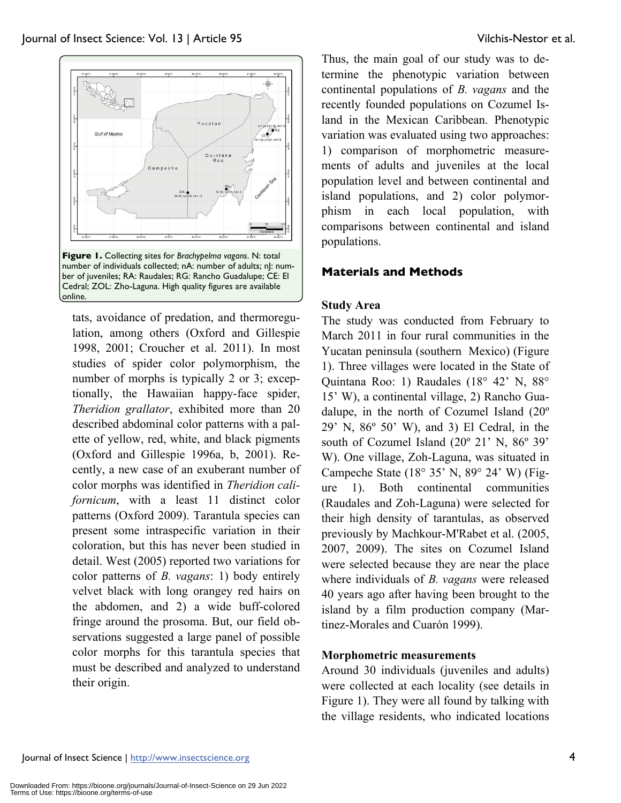

tats, avoidance of predation, and thermoregulation, among others (Oxford and Gillespie 1998, 2001; Croucher et al. 2011). In most studies of spider color polymorphism, the number of morphs is typically 2 or 3; exceptionally, the Hawaiian happy-face spider, *Theridion grallator*, exhibited more than 20 described abdominal color patterns with a palette of yellow, red, white, and black pigments (Oxford and Gillespie 1996a, b, 2001). Recently, a new case of an exuberant number of color morphs was identified in *Theridion californicum*, with a least 11 distinct color patterns (Oxford 2009). Tarantula species can present some intraspecific variation in their coloration, but this has never been studied in detail. West (2005) reported two variations for color patterns of *B. vagans*: 1) body entirely velvet black with long orangey red hairs on the abdomen, and 2) a wide buff-colored fringe around the prosoma. But, our field observations suggested a large panel of possible color morphs for this tarantula species that must be described and analyzed to understand their origin.

Thus, the main goal of our study was to determine the phenotypic variation between continental populations of *B. vagans* and the recently founded populations on Cozumel Island in the Mexican Caribbean. Phenotypic variation was evaluated using two approaches: 1) comparison of morphometric measurements of adults and juveniles at the local population level and between continental and island populations, and 2) color polymorphism in each local population, with comparisons between continental and island populations.

# **Materials and Methods**

### **Study Area**

The study was conducted from February to March 2011 in four rural communities in the Yucatan peninsula (southern Mexico) (Figure 1). Three villages were located in the State of Quintana Roo: 1) Raudales (18° 42' N, 88° 15' W), a continental village, 2) Rancho Guadalupe, in the north of Cozumel Island (20º 29' N, 86º 50' W), and 3) El Cedral, in the south of Cozumel Island (20º 21' N, 86º 39' W). One village, Zoh-Laguna, was situated in Campeche State (18° 35' N, 89° 24' W) (Figure 1). Both continental communities (Raudales and Zoh-Laguna) were selected for their high density of tarantulas, as observed previously by Machkour-M'Rabet et al. (2005, 2007, 2009). The sites on Cozumel Island were selected because they are near the place where individuals of *B. vagans* were released 40 years ago after having been brought to the island by a film production company (Martinez-Morales and Cuarón 1999).

# **Morphometric measurements**

Around 30 individuals (juveniles and adults) were collected at each locality (see details in Figure 1). They were all found by talking with the village residents, who indicated locations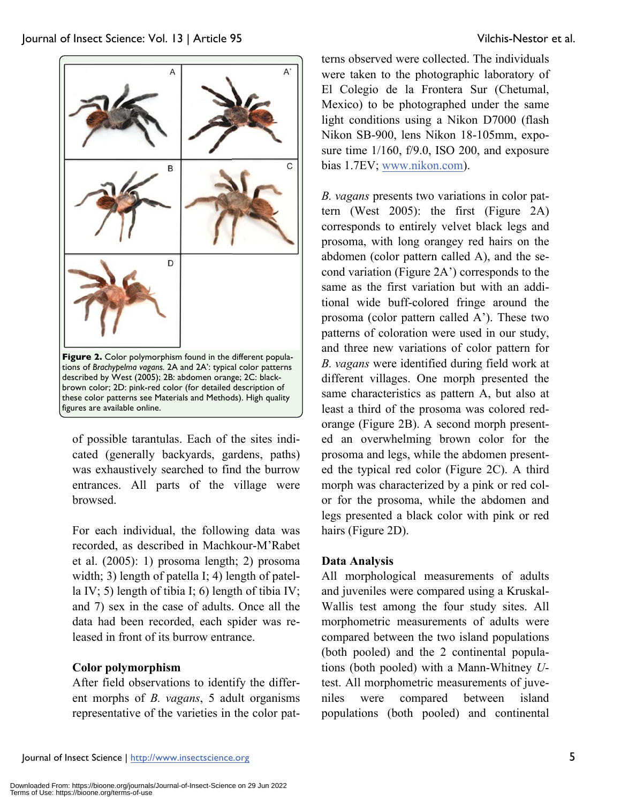

of possible tarantulas. Each of the sites indicated (generally backyards, gardens, paths) was exhaustively searched to find the burrow entrances. All parts of the village were browsed.

For each individual, the following data was recorded, as described in Machkour-M'Rabet et al. (2005): 1) prosoma length; 2) prosoma width; 3) length of patella I; 4) length of patella IV; 5) length of tibia I; 6) length of tibia IV; and 7) sex in the case of adults. Once all the data had been recorded, each spider was released in front of its burrow entrance.

# **Color polymorphism**

After field observations to identify the different morphs of *B. vagans*, 5 adult organisms representative of the varieties in the color pat-

terns observed were collected. The individuals were taken to the photographic laboratory of El Colegio de la Frontera Sur (Chetumal, Mexico) to be photographed under the same light conditions using a Nikon D7000 (flash Nikon SB-900, lens Nikon 18-105mm, exposure time  $1/160$ , f/9.0, ISO 200, and exposure bias 1.7EV; www.nikon.com).

*B. vagans* presents two variations in color pattern (West 2005): the first (Figure 2A) corresponds to entirely velvet black legs and prosoma, with long orangey red hairs on the abdomen (color pattern called A), and the second variation (Figure 2A') corresponds to the same as the first variation but with an additional wide buff-colored fringe around the prosoma (color pattern called A'). These two patterns of coloration were used in our study, and three new variations of color pattern for *B. vagans* were identified during field work at different villages. One morph presented the same characteristics as pattern A, but also at least a third of the prosoma was colored redorange (Figure 2B). A second morph presented an overwhelming brown color for the prosoma and legs, while the abdomen presented the typical red color (Figure 2C). A third morph was characterized by a pink or red color for the prosoma, while the abdomen and legs presented a black color with pink or red hairs (Figure 2D).

# **Data Analysis**

All morphological measurements of adults and juveniles were compared using a Kruskal-Wallis test among the four study sites. All morphometric measurements of adults were compared between the two island populations (both pooled) and the 2 continental populations (both pooled) with a Mann-Whitney *U*test. All morphometric measurements of juveniles were compared between island populations (both pooled) and continental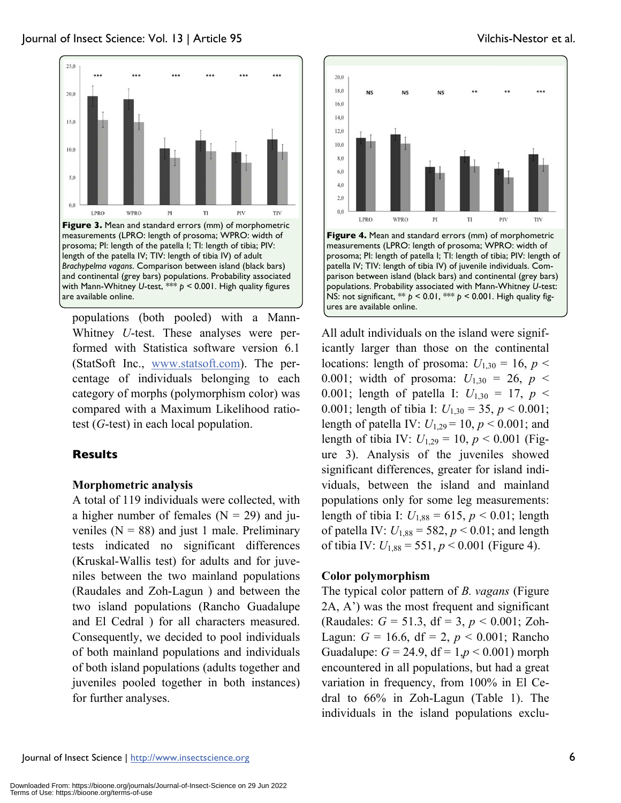

prosoma; PI: length of the patella I; TI: length of tibia; PIV: length of the patella IV; TIV: length of tibia IV) of adult *Brachypelma vagans*. Comparison between island (black bars) and continental (grey bars) populations. Probability associated with Mann-Whitney *U*-test, \*\*\* *p* < 0.001. High quality figures are available online.

populations (both pooled) with a Mann-Whitney *U*-test. These analyses were performed with Statistica software version 6.1 (StatSoft Inc., www.statsoft.com). The percentage of individuals belonging to each category of morphs (polymorphism color) was compared with a Maximum Likelihood ratiotest (*G*-test) in each local population.

# **Results**

#### **Morphometric analysis**

A total of 119 individuals were collected, with a higher number of females  $(N = 29)$  and juveniles  $(N = 88)$  and just 1 male. Preliminary tests indicated no significant differences (Kruskal-Wallis test) for adults and for juveniles between the two mainland populations (Raudales and Zoh-Lagun ) and between the two island populations (Rancho Guadalupe and El Cedral ) for all characters measured. Consequently, we decided to pool individuals of both mainland populations and individuals of both island populations (adults together and juveniles pooled together in both instances) for further analyses.



**Figure 4.** Mean and standard errors (mm) of morphometric measurements (LPRO: length of prosoma; WPRO: width of prosoma; PI: length of patella I; TI: length of tibia; PIV: length of patella IV; TIV: length of tibia IV) of juvenile individuals. Comparison between island (black bars) and continental (grey bars) populations. Probability associated with Mann-Whitney *U*-test: NS: not significant, \*\* *p* < 0.01, \*\*\* *p* < 0.001. High quality figures are available online.

All adult individuals on the island were significantly larger than those on the continental locations: length of prosoma:  $U_{1,30} = 16$ ,  $p <$ 0.001; width of prosoma:  $U_{1,30} = 26$ ,  $p <$ 0.001; length of patella I:  $U_{1,30} = 17$ ,  $p <$ 0.001; length of tibia I:  $U_{1,30} = 35$ ,  $p < 0.001$ ; length of patella IV:  $U_{1,29} = 10$ ,  $p < 0.001$ ; and length of tibia IV:  $U_{1,29} = 10$ ,  $p < 0.001$  (Figure 3). Analysis of the juveniles showed significant differences, greater for island individuals, between the island and mainland populations only for some leg measurements: length of tibia I:  $U_{1,88} = 615$ ,  $p < 0.01$ ; length of patella IV:  $U_{1,88} = 582, p < 0.01$ ; and length of tibia IV:  $U_{1,88} = 551, p < 0.001$  (Figure 4).

#### **Color polymorphism**

The typical color pattern of *B. vagans* (Figure 2A, A') was the most frequent and significant (Raudales: *G* = 51.3, df = 3, *p* < 0.001; Zoh-Lagun:  $G = 16.6$ , df = 2,  $p < 0.001$ ; Rancho Guadalupe:  $G = 24.9$ ,  $df = 1, p < 0.001$ ) morph encountered in all populations, but had a great variation in frequency, from 100% in El Cedral to 66% in Zoh-Lagun (Table 1). The individuals in the island populations exclu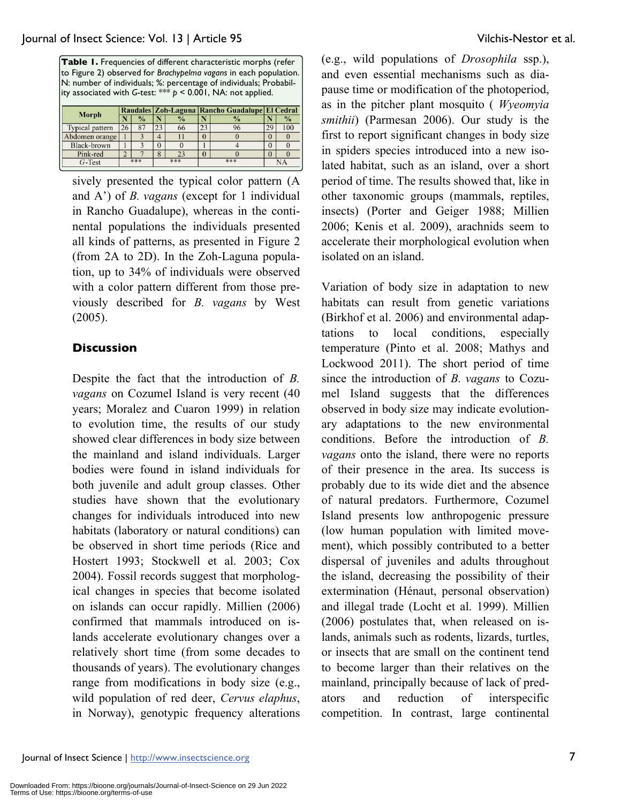**Table 1.** Frequencies of different characteristic morphs (refer to Figure 2) observed for *Brachypelma vagans* in each population. N: number of individuals; %: percentage of individuals; Probability associated with *G*-test: \*\*\* *p* < 0.001, NA: not applied.

|                 |     |               |          |               | Raudales Zoh-Laguna Rancho Guadalupe El Cedral |               |    |               |
|-----------------|-----|---------------|----------|---------------|------------------------------------------------|---------------|----|---------------|
| Morph           |     | $\frac{0}{0}$ |          | $\frac{0}{0}$ |                                                | $\frac{0}{0}$ |    | $\frac{0}{0}$ |
| Typical pattern | 26  | 87            | 23       | 66            | 23                                             | 96            | 29 | 100           |
| Abdomen orange  |     |               | 4        |               |                                                |               | 0  |               |
| Black-brown     |     |               | $\theta$ |               |                                                |               | 0  |               |
| Pink-red        | ∠   |               | 8        | 23            |                                                |               | 0  |               |
| $G$ -Test       | *** |               | ***      |               | ***                                            |               |    |               |

sively presented the typical color pattern (A and A') of *B. vagans* (except for 1 individual in Rancho Guadalupe), whereas in the continental populations the individuals presented all kinds of patterns, as presented in Figure 2 (from 2A to 2D). In the Zoh-Laguna population, up to 34% of individuals were observed with a color pattern different from those previously described for *B. vagans* by West (2005).

### **Discussion**

Despite the fact that the introduction of *B. vagans* on Cozumel Island is very recent (40 years; Moralez and Cuaron 1999) in relation to evolution time, the results of our study showed clear differences in body size between the mainland and island individuals. Larger bodies were found in island individuals for both juvenile and adult group classes. Other studies have shown that the evolutionary changes for individuals introduced into new habitats (laboratory or natural conditions) can be observed in short time periods (Rice and Hostert 1993; Stockwell et al. 2003; Cox 2004). Fossil records suggest that morphological changes in species that become isolated on islands can occur rapidly. Millien (2006) confirmed that mammals introduced on islands accelerate evolutionary changes over a relatively short time (from some decades to thousands of years). The evolutionary changes range from modifications in body size (e.g., wild population of red deer, *Cervus elaphus*, in Norway), genotypic frequency alterations (e.g., wild populations of *Drosophila* ssp.), and even essential mechanisms such as diapause time or modification of the photoperiod, as in the pitcher plant mosquito ( *Wyeomyia smithii*) (Parmesan 2006). Our study is the first to report significant changes in body size in spiders species introduced into a new isolated habitat, such as an island, over a short period of time. The results showed that, like in other taxonomic groups (mammals, reptiles, insects) (Porter and Geiger 1988; Millien 2006; Kenis et al. 2009), arachnids seem to accelerate their morphological evolution when isolated on an island.

Variation of body size in adaptation to new habitats can result from genetic variations (Birkhof et al. 2006) and environmental adaptations to local conditions, especially temperature (Pinto et al. 2008; Mathys and Lockwood 2011). The short period of time since the introduction of *B. vagans* to Cozumel Island suggests that the differences observed in body size may indicate evolutionary adaptations to the new environmental conditions. Before the introduction of *B. vagans* onto the island, there were no reports of their presence in the area. Its success is probably due to its wide diet and the absence of natural predators. Furthermore, Cozumel Island presents low anthropogenic pressure (low human population with limited movement), which possibly contributed to a better dispersal of juveniles and adults throughout the island, decreasing the possibility of their extermination (Hénaut, personal observation) and illegal trade (Locht et al. 1999). Millien (2006) postulates that, when released on islands, animals such as rodents, lizards, turtles, or insects that are small on the continent tend to become larger than their relatives on the mainland, principally because of lack of predators and reduction of interspecific competition. In contrast, large continental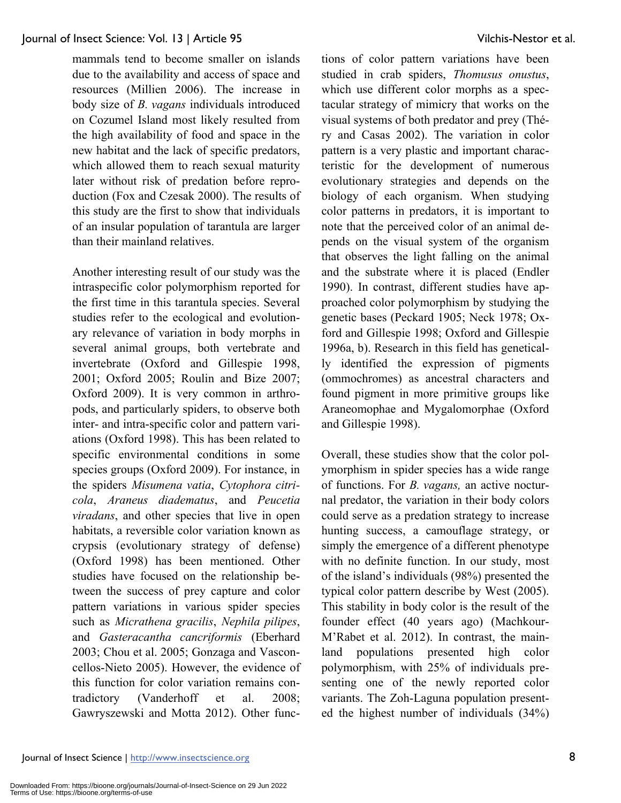than their mainland relatives.

mammals tend to become smaller on islands due to the availability and access of space and resources (Millien 2006). The increase in body size of *B. vagans* individuals introduced on Cozumel Island most likely resulted from the high availability of food and space in the new habitat and the lack of specific predators, which allowed them to reach sexual maturity later without risk of predation before reproduction (Fox and Czesak 2000). The results of this study are the first to show that individuals of an insular population of tarantula are larger

Another interesting result of our study was the intraspecific color polymorphism reported for the first time in this tarantula species. Several studies refer to the ecological and evolutionary relevance of variation in body morphs in several animal groups, both vertebrate and invertebrate (Oxford and Gillespie 1998, 2001; Oxford 2005; Roulin and Bize 2007; Oxford 2009). It is very common in arthropods, and particularly spiders, to observe both inter- and intra-specific color and pattern variations (Oxford 1998). This has been related to specific environmental conditions in some species groups (Oxford 2009). For instance, in the spiders *Misumena vatia*, *Cytophora citricola*, *Araneus diadematus*, and *Peucetia viradans*, and other species that live in open habitats, a reversible color variation known as crypsis (evolutionary strategy of defense) (Oxford 1998) has been mentioned. Other studies have focused on the relationship between the success of prey capture and color pattern variations in various spider species such as *Micrathena gracilis*, *Nephila pilipes*, and *Gasteracantha cancriformis* (Eberhard 2003; Chou et al. 2005; Gonzaga and Vasconcellos-Nieto 2005). However, the evidence of this function for color variation remains contradictory (Vanderhoff et al. 2008; Gawryszewski and Motta 2012). Other func-

tions of color pattern variations have been studied in crab spiders, *Thomusus onustus*, which use different color morphs as a spectacular strategy of mimicry that works on the visual systems of both predator and prey (Théry and Casas 2002). The variation in color pattern is a very plastic and important characteristic for the development of numerous evolutionary strategies and depends on the biology of each organism. When studying color patterns in predators, it is important to note that the perceived color of an animal depends on the visual system of the organism that observes the light falling on the animal and the substrate where it is placed (Endler 1990). In contrast, different studies have approached color polymorphism by studying the genetic bases (Peckard 1905; Neck 1978; Oxford and Gillespie 1998; Oxford and Gillespie 1996a, b). Research in this field has genetically identified the expression of pigments (ommochromes) as ancestral characters and found pigment in more primitive groups like Araneomophae and Mygalomorphae (Oxford and Gillespie 1998).

Overall, these studies show that the color polymorphism in spider species has a wide range of functions. For *B. vagans,* an active nocturnal predator, the variation in their body colors could serve as a predation strategy to increase hunting success, a camouflage strategy, or simply the emergence of a different phenotype with no definite function. In our study, most of the island's individuals (98%) presented the typical color pattern describe by West (2005). This stability in body color is the result of the founder effect (40 years ago) (Machkour-M'Rabet et al. 2012). In contrast, the mainland populations presented high color polymorphism, with 25% of individuals presenting one of the newly reported color variants. The Zoh-Laguna population presented the highest number of individuals (34%)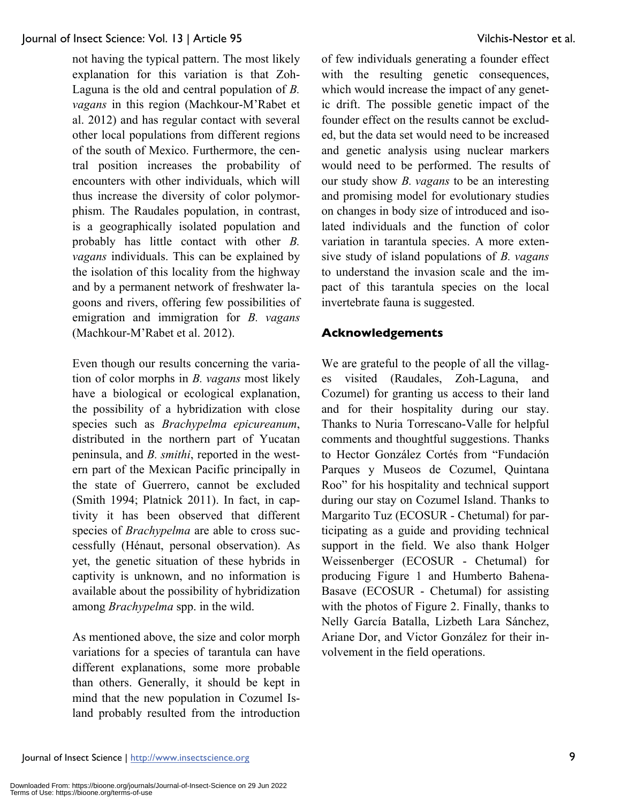not having the typical pattern. The most likely explanation for this variation is that Zoh-Laguna is the old and central population of *B. vagans* in this region (Machkour-M'Rabet et al. 2012) and has regular contact with several other local populations from different regions of the south of Mexico. Furthermore, the central position increases the probability of encounters with other individuals, which will thus increase the diversity of color polymorphism. The Raudales population, in contrast, is a geographically isolated population and probably has little contact with other *B. vagans* individuals. This can be explained by the isolation of this locality from the highway and by a permanent network of freshwater lagoons and rivers, offering few possibilities of emigration and immigration for *B. vagans* (Machkour-M'Rabet et al. 2012).

Even though our results concerning the variation of color morphs in *B. vagans* most likely have a biological or ecological explanation, the possibility of a hybridization with close species such as *Brachypelma epicureanum*, distributed in the northern part of Yucatan peninsula, and *B. smithi*, reported in the western part of the Mexican Pacific principally in the state of Guerrero, cannot be excluded (Smith 1994; Platnick 2011). In fact, in captivity it has been observed that different species of *Brachypelma* are able to cross successfully (Hénaut, personal observation). As yet, the genetic situation of these hybrids in captivity is unknown, and no information is available about the possibility of hybridization among *Brachypelma* spp. in the wild.

As mentioned above, the size and color morph variations for a species of tarantula can have different explanations, some more probable than others. Generally, it should be kept in mind that the new population in Cozumel Island probably resulted from the introduction of few individuals generating a founder effect with the resulting genetic consequences, which would increase the impact of any genetic drift. The possible genetic impact of the founder effect on the results cannot be excluded, but the data set would need to be increased and genetic analysis using nuclear markers would need to be performed. The results of our study show *B. vagans* to be an interesting and promising model for evolutionary studies on changes in body size of introduced and isolated individuals and the function of color variation in tarantula species. A more extensive study of island populations of *B. vagans* to understand the invasion scale and the impact of this tarantula species on the local invertebrate fauna is suggested.

# **Acknowledgements**

We are grateful to the people of all the villages visited (Raudales, Zoh-Laguna, and Cozumel) for granting us access to their land and for their hospitality during our stay. Thanks to Nuria Torrescano-Valle for helpful comments and thoughtful suggestions. Thanks to Hector González Cortés from "Fundación Parques y Museos de Cozumel, Quintana Roo" for his hospitality and technical support during our stay on Cozumel Island. Thanks to Margarito Tuz (ECOSUR - Chetumal) for participating as a guide and providing technical support in the field. We also thank Holger Weissenberger (ECOSUR - Chetumal) for producing Figure 1 and Humberto Bahena-Basave (ECOSUR - Chetumal) for assisting with the photos of Figure 2. Finally, thanks to Nelly García Batalla, Lizbeth Lara Sánchez, Ariane Dor, and Victor González for their involvement in the field operations.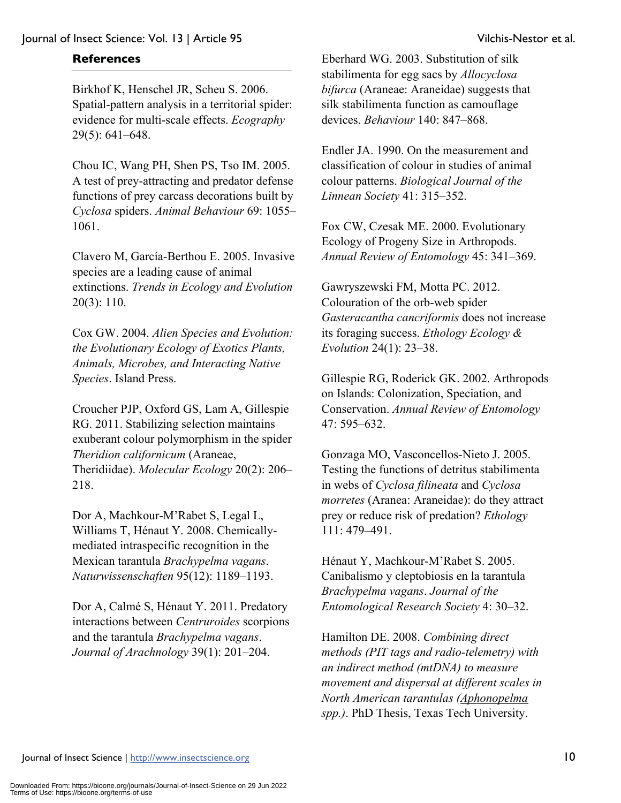# **References**

Birkhof K, Henschel JR, Scheu S. 2006. Spatial-pattern analysis in a territorial spider: evidence for multi-scale effects. *Ecography* 29(5): 641–648.

Chou IC, Wang PH, Shen PS, Tso IM. 2005. A test of prey-attracting and predator defense functions of prey carcass decorations built by *Cyclosa* spiders. *Animal Behaviour* 69: 1055– 1061.

Clavero M, García-Berthou E. 2005. Invasive species are a leading cause of animal extinctions. *Trends in Ecology and Evolution* 20(3): 110.

Cox GW. 2004. *Alien Species and Evolution: the Evolutionary Ecology of Exotics Plants, Animals, Microbes, and Interacting Native Species*. Island Press.

Croucher PJP, Oxford GS, Lam A, Gillespie RG. 2011. Stabilizing selection maintains exuberant colour polymorphism in the spider *Theridion californicum* (Araneae, Theridiidae). *Molecular Ecology* 20(2): 206– 218.

Dor A, Machkour-M'Rabet S, Legal L, Williams T, Hénaut Y. 2008. Chemicallymediated intraspecific recognition in the Mexican tarantula *Brachypelma vagans*. *Naturwissenschaften* 95(12): 1189–1193.

Dor A, Calmé S, Hénaut Y. 2011. Predatory interactions between *Centruroides* scorpions and the tarantula *Brachypelma vagans*. *Journal of Arachnology* 39(1): 201–204.

Eberhard WG. 2003. Substitution of silk stabilimenta for egg sacs by *Allocyclosa bifurca* (Araneae: Araneidae) suggests that silk stabilimenta function as camouflage devices. *Behaviour* 140: 847–868.

Endler JA. 1990. On the measurement and classification of colour in studies of animal colour patterns. *Biological Journal of the Linnean Society* 41: 315–352.

Fox CW, Czesak ME. 2000. Evolutionary Ecology of Progeny Size in Arthropods. *Annual Review of Entomology* 45: 341–369.

Gawryszewski FM, Motta PC. 2012. Colouration of the orb-web spider *Gasteracantha cancriformis* does not increase its foraging success. *Ethology Ecology & Evolution* 24(1): 23–38.

Gillespie RG, Roderick GK. 2002. Arthropods on Islands: Colonization, Speciation, and Conservation. *Annual Review of Entomology* 47: 595–632.

Gonzaga MO, Vasconcellos-Nieto J. 2005. Testing the functions of detritus stabilimenta in webs of *Cyclosa filineata* and *Cyclosa morretes* (Aranea: Araneidae): do they attract prey or reduce risk of predation? *Ethology*  111: 479–491.

Hénaut Y, Machkour-M'Rabet S. 2005. Canibalismo y cleptobiosis en la tarantula *Brachypelma vagans*. *Journal of the Entomological Research Society* 4: 30–32.

Hamilton DE. 2008. *Combining direct methods (PIT tags and radio-telemetry) with an indirect method (mtDNA) to measure movement and dispersal at different scales in North American tarantulas (Aphonopelma spp.)*. PhD Thesis, Texas Tech University.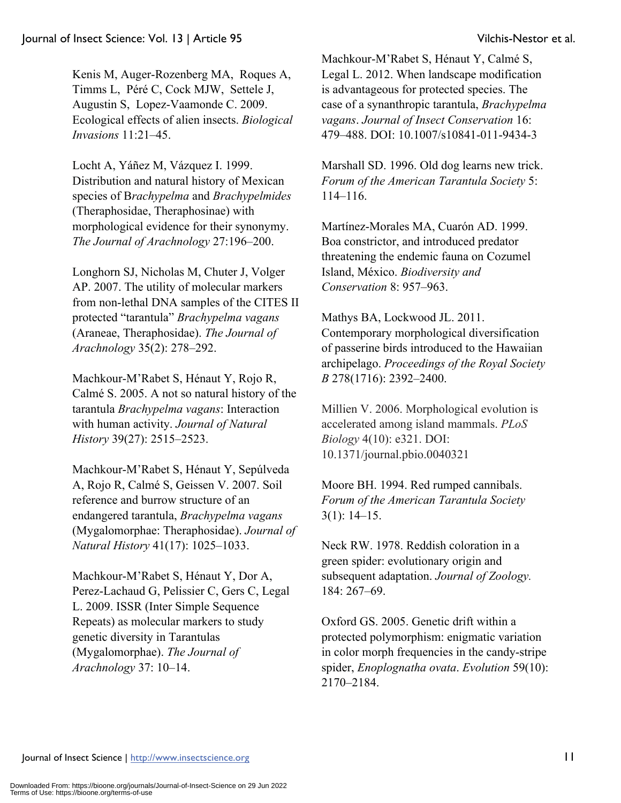Kenis M, Auger-Rozenberg MA, Roques A, Timms L, Péré C, Cock MJW, Settele J, Augustin S, Lopez-Vaamonde C. 2009. Ecological effects of alien insects. *Biological Invasions* 11:21–45.

Locht A, Yáñez M, Vázquez I. 1999. Distribution and natural history of Mexican species of B*rachypelma* and *Brachypelmides*  (Theraphosidae, Theraphosinae) with morphological evidence for their synonymy. *The Journal of Arachnology* 27:196–200.

Longhorn SJ, Nicholas M, Chuter J, Volger AP. 2007. The utility of molecular markers from non-lethal DNA samples of the CITES II protected "tarantula" *Brachypelma vagans* (Araneae, Theraphosidae). *The Journal of Arachnology* 35(2): 278–292.

Machkour-M'Rabet S, Hénaut Y, Rojo R, Calmé S. 2005. A not so natural history of the tarantula *Brachypelma vagans*: Interaction with human activity. *Journal of Natural History* 39(27): 2515–2523.

Machkour-M'Rabet S, Hénaut Y, Sepúlveda A, Rojo R, Calmé S, Geissen V. 2007. Soil reference and burrow structure of an endangered tarantula, *Brachypelma vagans* (Mygalomorphae: Theraphosidae). *Journal of Natural History* 41(17): 1025–1033.

Machkour-M'Rabet S, Hénaut Y, Dor A, Perez-Lachaud G, Pelissier C, Gers C, Legal L. 2009. ISSR (Inter Simple Sequence Repeats) as molecular markers to study genetic diversity in Tarantulas (Mygalomorphae). *The Journal of Arachnology* 37: 10–14.

Machkour-M'Rabet S, Hénaut Y, Calmé S, Legal L. 2012. When landscape modification is advantageous for protected species. The case of a synanthropic tarantula, *Brachypelma vagans*. *Journal of Insect Conservation* 16: 479–488. DOI: 10.1007/s10841-011-9434-3

Marshall SD. 1996. Old dog learns new trick. *Forum of the American Tarantula Society* 5: 114–116.

Martínez-Morales MA, Cuarón AD. 1999. Boa constrictor, and introduced predator threatening the endemic fauna on Cozumel Island, México. *Biodiversity and Conservation* 8: 957–963.

Mathys BA, Lockwood JL. 2011. Contemporary morphological diversification of passerine birds introduced to the Hawaiian archipelago. *Proceedings of the Royal Society B* 278(1716): 2392–2400.

Millien V. 2006. Morphological evolution is accelerated among island mammals. *PLoS Biology* 4(10): e321. DOI: 10.1371/journal.pbio.0040321

Moore BH. 1994. Red rumped cannibals. *Forum of the American Tarantula Society* 3(1): 14–15.

Neck RW. 1978. Reddish coloration in a green spider: evolutionary origin and subsequent adaptation. *Journal of Zoology.*  184: 267–69.

Oxford GS. 2005. Genetic drift within a protected polymorphism: enigmatic variation in color morph frequencies in the candy-stripe spider, *Enoplognatha ovata*. *Evolution* 59(10): 2170–2184.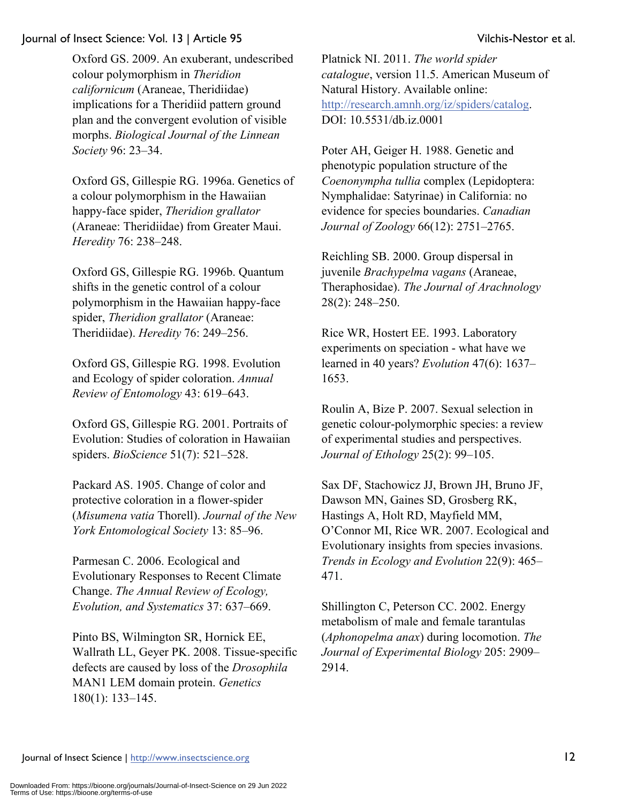Oxford GS. 2009. An exuberant, undescribed colour polymorphism in *Theridion californicum* (Araneae, Theridiidae) implications for a Theridiid pattern ground plan and the convergent evolution of visible morphs. *Biological Journal of the Linnean Society* 96: 23–34.

Oxford GS, Gillespie RG. 1996a. Genetics of a colour polymorphism in the Hawaiian happy-face spider, *Theridion grallator* (Araneae: Theridiidae) from Greater Maui. *Heredity* 76: 238–248.

Oxford GS, Gillespie RG. 1996b. Quantum shifts in the genetic control of a colour polymorphism in the Hawaiian happy-face spider, *Theridion grallator* (Araneae: Theridiidae). *Heredity* 76: 249–256.

Oxford GS, Gillespie RG. 1998. Evolution and Ecology of spider coloration. *Annual Review of Entomology* 43: 619–643.

Oxford GS, Gillespie RG. 2001. Portraits of Evolution: Studies of coloration in Hawaiian spiders. *BioScience* 51(7): 521–528.

Packard AS. 1905. Change of color and protective coloration in a flower-spider (*Misumena vatia* Thorell). *Journal of the New York Entomological Society* 13: 85–96.

Parmesan C. 2006. Ecological and Evolutionary Responses to Recent Climate Change. *The Annual Review of Ecology, Evolution, and Systematics* 37: 637–669.

Pinto BS, Wilmington SR, Hornick EE, Wallrath LL, Geyer PK. 2008. Tissue-specific defects are caused by loss of the *Drosophila* MAN1 LEM domain protein. *Genetics* 180(1): 133–145.

Platnick NI. 2011. *The world spider catalogue*, version 11.5. American Museum of Natural History. Available online: http://research.amnh.org/iz/spiders/catalog. DOI: 10.5531/db.iz.0001

Poter AH, Geiger H. 1988. Genetic and phenotypic population structure of the *Coenonympha tullia* complex (Lepidoptera: Nymphalidae: Satyrinae) in California: no evidence for species boundaries. *Canadian Journal of Zoology* 66(12): 2751–2765.

Reichling SB. 2000. Group dispersal in juvenile *Brachypelma vagans* (Araneae, Theraphosidae). *The Journal of Arachnology* 28(2): 248–250.

Rice WR, Hostert EE. 1993. Laboratory experiments on speciation - what have we learned in 40 years? *Evolution* 47(6): 1637– 1653.

Roulin A, Bize P. 2007. Sexual selection in genetic colour-polymorphic species: a review of experimental studies and perspectives. *Journal of Ethology* 25(2): 99–105.

Sax DF, Stachowicz JJ, Brown JH, Bruno JF, Dawson MN, Gaines SD, Grosberg RK, Hastings A, Holt RD, Mayfield MM, O'Connor MI, Rice WR. 2007. Ecological and Evolutionary insights from species invasions. *Trends in Ecology and Evolution* 22(9): 465– 471.

Shillington C, Peterson CC. 2002. Energy metabolism of male and female tarantulas (*Aphonopelma anax*) during locomotion. *The Journal of Experimental Biology* 205: 2909– 2914.